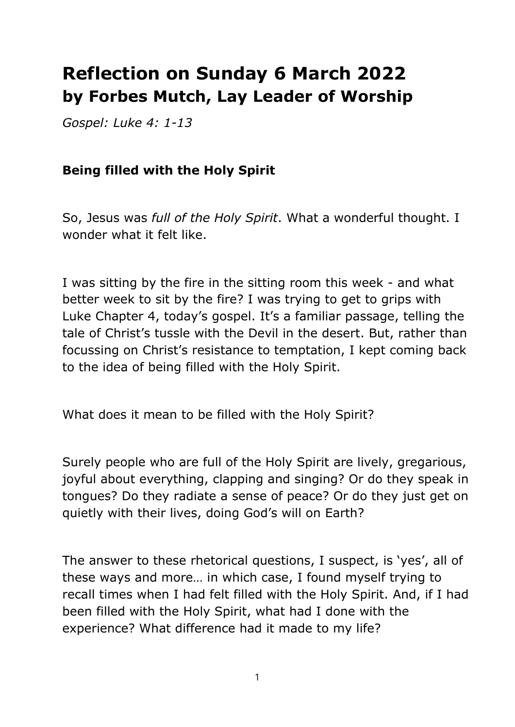## **Reflection on Sunday 6 March 2022 by Forbes Mutch, Lay Leader of Worship**

*Gospel: Luke 4: 1-13*

## **Being filled with the Holy Spirit**

So, Jesus was *full of the Holy Spirit*. What a wonderful thought. I wonder what it felt like.

I was sitting by the fire in the sitting room this week - and what better week to sit by the fire? I was trying to get to grips with Luke Chapter 4, today's gospel. It's a familiar passage, telling the tale of Christ's tussle with the Devil in the desert. But, rather than focussing on Christ's resistance to temptation, I kept coming back to the idea of being filled with the Holy Spirit.

What does it mean to be filled with the Holy Spirit?

Surely people who are full of the Holy Spirit are lively, gregarious, joyful about everything, clapping and singing? Or do they speak in tongues? Do they radiate a sense of peace? Or do they just get on quietly with their lives, doing God's will on Earth?

The answer to these rhetorical questions, I suspect, is 'yes', all of these ways and more… in which case, I found myself trying to recall times when I had felt filled with the Holy Spirit. And, if I had been filled with the Holy Spirit, what had I done with the experience? What difference had it made to my life?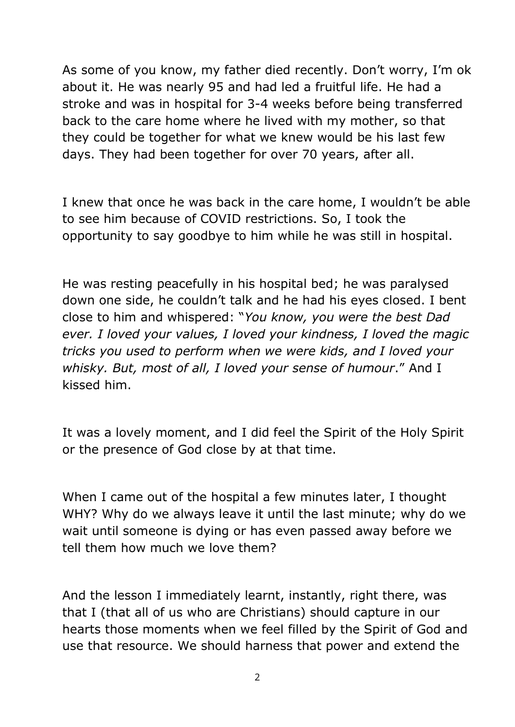As some of you know, my father died recently. Don't worry, I'm ok about it. He was nearly 95 and had led a fruitful life. He had a stroke and was in hospital for 3-4 weeks before being transferred back to the care home where he lived with my mother, so that they could be together for what we knew would be his last few days. They had been together for over 70 years, after all.

I knew that once he was back in the care home, I wouldn't be able to see him because of COVID restrictions. So, I took the opportunity to say goodbye to him while he was still in hospital.

He was resting peacefully in his hospital bed; he was paralysed down one side, he couldn't talk and he had his eyes closed. I bent close to him and whispered: "*You know, you were the best Dad ever. I loved your values, I loved your kindness, I loved the magic tricks you used to perform when we were kids, and I loved your whisky. But, most of all, I loved your sense of humour*." And I kissed him.

It was a lovely moment, and I did feel the Spirit of the Holy Spirit or the presence of God close by at that time.

When I came out of the hospital a few minutes later, I thought WHY? Why do we always leave it until the last minute; why do we wait until someone is dying or has even passed away before we tell them how much we love them?

And the lesson I immediately learnt, instantly, right there, was that I (that all of us who are Christians) should capture in our hearts those moments when we feel filled by the Spirit of God and use that resource. We should harness that power and extend the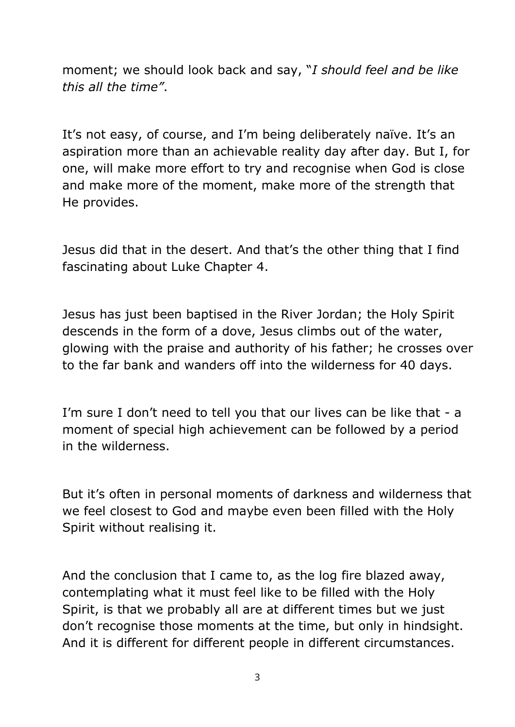moment; we should look back and say, "*I should feel and be like this all the time"*.

It's not easy, of course, and I'm being deliberately naïve. It's an aspiration more than an achievable reality day after day. But I, for one, will make more effort to try and recognise when God is close and make more of the moment, make more of the strength that He provides.

Jesus did that in the desert. And that's the other thing that I find fascinating about Luke Chapter 4.

Jesus has just been baptised in the River Jordan; the Holy Spirit descends in the form of a dove, Jesus climbs out of the water, glowing with the praise and authority of his father; he crosses over to the far bank and wanders off into the wilderness for 40 days.

I'm sure I don't need to tell you that our lives can be like that - a moment of special high achievement can be followed by a period in the wilderness.

But it's often in personal moments of darkness and wilderness that we feel closest to God and maybe even been filled with the Holy Spirit without realising it.

And the conclusion that I came to, as the log fire blazed away, contemplating what it must feel like to be filled with the Holy Spirit, is that we probably all are at different times but we just don't recognise those moments at the time, but only in hindsight. And it is different for different people in different circumstances.